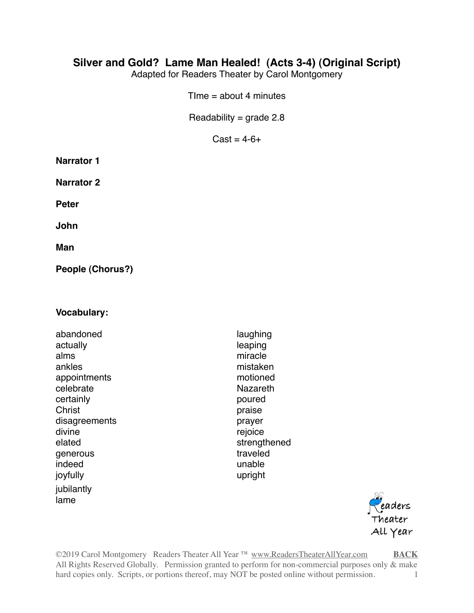## **Silver and Gold? Lame Man Healed! (Acts 3-4) (Original Script)**

Adapted for Readers Theater by Carol Montgomery

 $Time = about 4 minutes$ 

Readability =  $grade$  2.8

<span id="page-0-0"></span> $Cast = 4-6+$ 

| <b>Narrator 1</b> |  |
|-------------------|--|
|-------------------|--|

**Narrator 2**

**Peter**

**John**

**Man**

**People (Chorus?)**

#### **Vocabulary:**

abandoned laughing actually actually actually actually actually actually actually actually actually actually actually actually actually actually actually actually actually actually actually actually actually actually actually actually actual alms miracle ankles mistaken appointments motioned celebrate Nazareth certainly **poured** Christ **praise** disagreements **prayer** divine rejoice and the region of the rejoice of the rejoice and the region of the region of the region of the region of the region of the region of the region of the region of the region of the region of the region of the elated strengthened generous traveled indeed unable joyfully upright jubilantly lame



©2019 Carol Montgomery Readers Theater All Year ™ [www.ReadersTheaterAllYear.com](http://www.ReadersTheaterAllYear.com) **[BACK](#page-0-0)** All Rights Reserved Globally. Permission granted to perform for non-commercial purposes only & make hard copies only. Scripts, or portions thereof, may NOT be posted online without permission. 1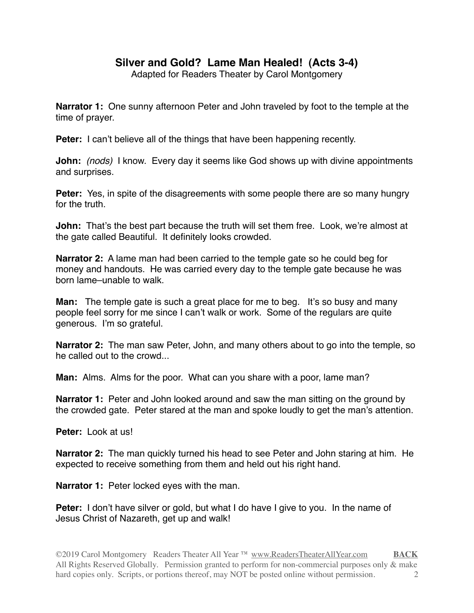# **Silver and Gold? Lame Man Healed! (Acts 3-4)**

Adapted for Readers Theater by Carol Montgomery

**Narrator 1:** One sunny afternoon Peter and John traveled by foot to the temple at the time of prayer.

**Peter:** I can't believe all of the things that have been happening recently.

**John:** *(nods)* I know. Every day it seems like God shows up with divine appointments and surprises.

**Peter:** Yes, in spite of the disagreements with some people there are so many hungry for the truth

**John:** That's the best part because the truth will set them free. Look, we're almost at the gate called Beautiful. It definitely looks crowded.

**Narrator 2:** A lame man had been carried to the temple gate so he could beg for money and handouts. He was carried every day to the temple gate because he was born lame–unable to walk.

**Man:** The temple gate is such a great place for me to beg. It's so busy and many people feel sorry for me since I can't walk or work. Some of the regulars are quite generous. I'm so grateful.

**Narrator 2:** The man saw Peter, John, and many others about to go into the temple, so he called out to the crowd...

**Man:** Alms. Alms for the poor. What can you share with a poor, lame man?

**Narrator 1:** Peter and John looked around and saw the man sitting on the ground by the crowded gate. Peter stared at the man and spoke loudly to get the man's attention.

**Peter:** Look at us!

**Narrator 2:** The man quickly turned his head to see Peter and John staring at him. He expected to receive something from them and held out his right hand.

**Narrator 1:** Peter locked eyes with the man.

**Peter:** I don't have silver or gold, but what I do have I give to you. In the name of Jesus Christ of Nazareth, get up and walk!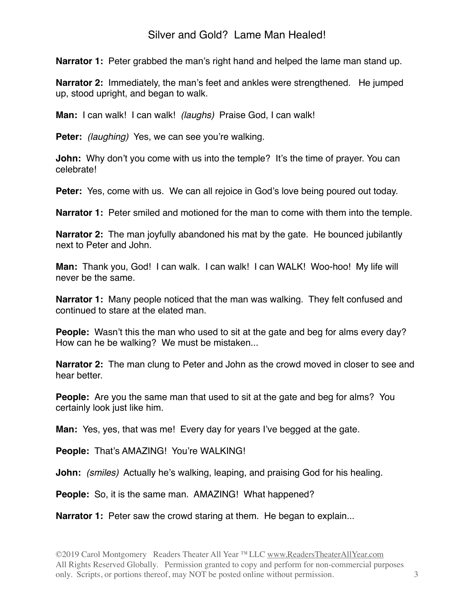## Silver and Gold? Lame Man Healed!

**Narrator 1:** Peter grabbed the man's right hand and helped the lame man stand up.

**Narrator 2:** Immediately, the man's feet and ankles were strengthened. He jumped up, stood upright, and began to walk.

**Man:** I can walk! I can walk! *(laughs)* Praise God, I can walk!

**Peter:** *(laughing)* Yes, we can see you're walking.

**John:** Why don't you come with us into the temple? It's the time of prayer. You can celebrate!

**Peter:** Yes, come with us. We can all rejoice in God's love being poured out today.

**Narrator 1:** Peter smiled and motioned for the man to come with them into the temple.

**Narrator 2:** The man joyfully abandoned his mat by the gate. He bounced jubilantly next to Peter and John.

**Man:** Thank you, God! I can walk. I can walk! I can WALK! Woo-hoo! My life will never be the same.

**Narrator 1:** Many people noticed that the man was walking. They felt confused and continued to stare at the elated man.

**People:** Wasn't this the man who used to sit at the gate and beg for alms every day? How can he be walking? We must be mistaken...

**Narrator 2:** The man clung to Peter and John as the crowd moved in closer to see and hear better.

**People:** Are you the same man that used to sit at the gate and beg for alms? You certainly look just like him.

**Man:** Yes, yes, that was me! Every day for years I've begged at the gate.

**People:** That's AMAZING! You're WALKING!

**John:** *(smiles)* Actually he's walking, leaping, and praising God for his healing.

**People:** So, it is the same man. AMAZING! What happened?

**Narrator 1:** Peter saw the crowd staring at them. He began to explain...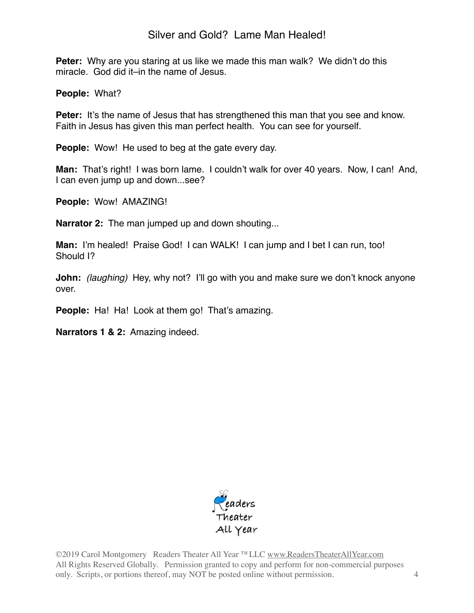# Silver and Gold? Lame Man Healed!

**Peter:** Why are you staring at us like we made this man walk? We didn't do this miracle. God did it–in the name of Jesus.

**People:** What?

**Peter:** It's the name of Jesus that has strengthened this man that you see and know. Faith in Jesus has given this man perfect health. You can see for yourself.

**People:** Wow! He used to beg at the gate every day.

**Man:** That's right! I was born lame. I couldn't walk for over 40 years. Now, I can! And, I can even jump up and down...see?

**People:** Wow! AMAZING!

**Narrator 2:** The man jumped up and down shouting...

**Man:** I'm healed! Praise God! I can WALK! I can jump and I bet I can run, too! Should I?

**John:** *(laughing)* Hey, why not? I'll go with you and make sure we don't knock anyone over.

**People:** Ha! Ha! Look at them go! That's amazing.

**Narrators 1 & 2:** Amazing indeed.



©2019 Carol Montgomery Readers Theater All Year ™LLC [www.ReadersTheaterAllYear.com](http://www.ReadersTheaterAllYear.com) All Rights Reserved Globally. Permission granted to copy and perform for non-commercial purposes only. Scripts, or portions thereof, may NOT be posted online without permission. 4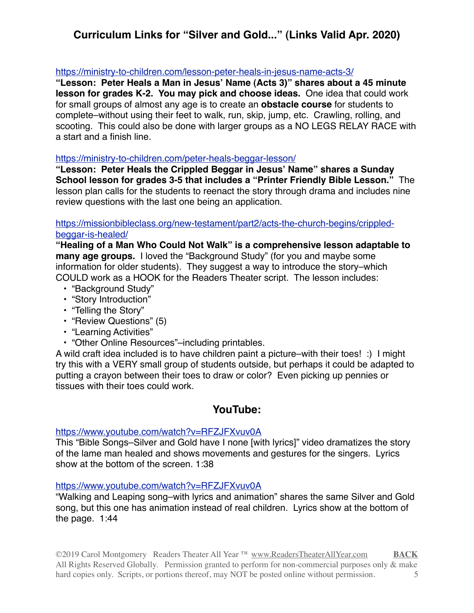# **Curriculum Links for "Silver and Gold..." (Links Valid Apr. 2020)**

#### <https://ministry-to-children.com/lesson-peter-heals-in-jesus-name-acts-3/>

**"Lesson: Peter Heals a Man in Jesus' Name (Acts 3)" shares about a 45 minute lesson for grades K-2. You may pick and choose ideas.** One idea that could work for small groups of almost any age is to create an **obstacle course** for students to complete–without using their feet to walk, run, skip, jump, etc. Crawling, rolling, and scooting. This could also be done with larger groups as a NO LEGS RELAY RACE with a start and a finish line.

#### <https://ministry-to-children.com/peter-heals-beggar-lesson/>

**"Lesson: Peter Heals the Crippled Beggar in Jesus' Name" shares a Sunday School lesson for grades 3-5 that includes a "Printer Friendly Bible Lesson."** The lesson plan calls for the students to reenact the story through drama and includes nine review questions with the last one being an application.

#### [https://missionbibleclass.org/new-testament/part2/acts-the-church-begins/crippled](https://missionbibleclass.org/new-testament/part2/acts-the-church-begins/crippled-beggar-is-healed/)[beggar-is-healed/](https://missionbibleclass.org/new-testament/part2/acts-the-church-begins/crippled-beggar-is-healed/)

**"Healing of a Man Who Could Not Walk" is a comprehensive lesson adaptable to many age groups.** I loved the "Background Study" (for you and maybe some information for older students). They suggest a way to introduce the story–which COULD work as a HOOK for the Readers Theater script. The lesson includes:

- "Background Study"
- "Story Introduction"
- "Telling the Story"
- "Review Questions" (5)
- "Learning Activities"
- "Other Online Resources"–including printables.

A wild craft idea included is to have children paint a picture–with their toes! :) I might try this with a VERY small group of students outside, but perhaps it could be adapted to putting a crayon between their toes to draw or color? Even picking up pennies or tissues with their toes could work.

### **YouTube:**

#### <https://www.youtube.com/watch?v=RFZJFXvuv0A>

This "Bible Songs–Silver and Gold have I none [with lyrics]" video dramatizes the story of the lame man healed and shows movements and gestures for the singers. Lyrics show at the bottom of the screen. 1:38

#### <https://www.youtube.com/watch?v=RFZJFXvuv0A>

"Walking and Leaping song–with lyrics and animation" shares the same Silver and Gold song, but this one has animation instead of real children. Lyrics show at the bottom of the page. 1:44

©2019 Carol Montgomery Readers Theater All Year ™ [www.ReadersTheaterAllYear.com](http://www.ReadersTheaterAllYear.com) **[BACK](#page-0-0)** All Rights Reserved Globally. Permission granted to perform for non-commercial purposes only & make hard copies only. Scripts, or portions thereof, may NOT be posted online without permission. 5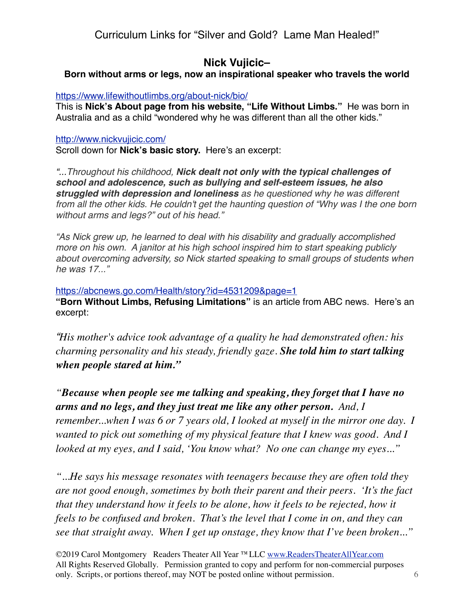Curriculum Links for "Silver and Gold? Lame Man Healed!"

# **Nick Vujicic–**

**Born without arms or legs, now an inspirational speaker who travels the world**

<https://www.lifewithoutlimbs.org/about-nick/bio/>

This is **Nick's About page from his website, "Life Without Limbs."** He was born in Australia and as a child "wondered why he was different than all the other kids."

### <http://www.nickvujicic.com/>

Scroll down for **Nick's basic story.** Here's an excerpt:

*"...Throughout his childhood, Nick dealt not only with the typical challenges of school and adolescence, such as bullying and self-esteem issues, he also struggled with depression and loneliness as he questioned why he was different from all the other kids. He couldn't get the haunting question of "Why was I the one born without arms and legs?" out of his head."*

*"As Nick grew up, he learned to deal with his disability and gradually accomplished more on his own. A janitor at his high school inspired him to start speaking publicly about overcoming adversity, so Nick started speaking to small groups of students when he was 17..."*

<https://abcnews.go.com/Health/story?id=4531209&page=1>

**"Born Without Limbs, Refusing Limitations"** is an article from ABC news. Here's an excerpt:

*"His mother's advice took advantage of a quality he had demonstrated often: his charming personality and his steady, friendly gaze. She told him to start talking when people stared at him."*

*"Because when people see me talking and speaking, they forget that I have no arms and no legs, and they just treat me like any other person. And, I remember...when I was 6 or 7 years old, I looked at myself in the mirror one day. I wanted to pick out something of my physical feature that I knew was good. And I looked at my eyes, and I said, 'You know what? No one can change my eyes..."*

*"...He says his message resonates with teenagers because they are often told they are not good enough, sometimes by both their parent and their peers. 'It's the fact that they understand how it feels to be alone, how it feels to be rejected, how it feels to be confused and broken. That's the level that I come in on, and they can see that straight away. When I get up onstage, they know that I've been broken..."*

©2019 Carol Montgomery Readers Theater All Year ™LLC [www.ReadersTheaterAllYear.com](http://www.ReadersTheaterAllYear.com) All Rights Reserved Globally. Permission granted to copy and perform for non-commercial purposes only. Scripts, or portions thereof, may NOT be posted online without permission. 6